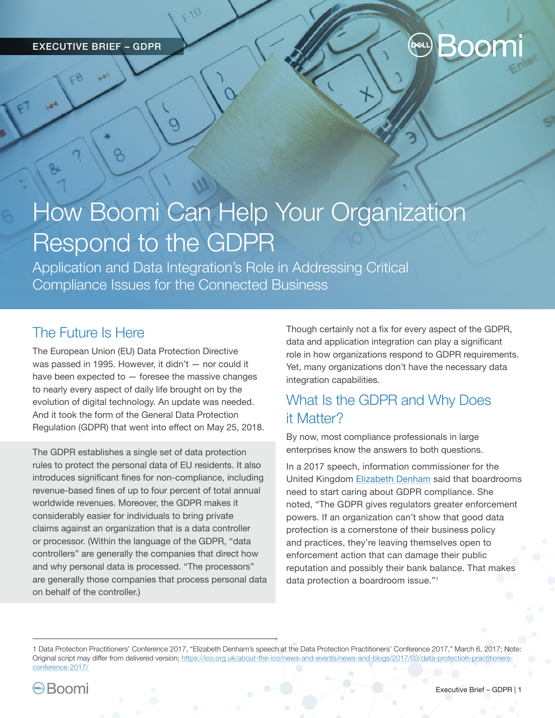# **Decl.) Boomi**

# How Boomi Can Help Your Organization Respond to the GDPR

Application and Data Integration's Role in Addressing Critical Compliance Issues for the Connected Business

# The Future Is Here

The European Union (EU) Data Protection Directive was passed in 1995. However, it didn't — nor could it have been expected to  $-$  foresee the massive changes to nearly every aspect of daily life brought on by the evolution of digital technology. An update was needed. And it took the form of the General Data Protection Regulation (GDPR) that went into effect on May 25, 2018.

 $\circ$ 

The GDPR establishes a single set of data protection rules to protect the personal data of EU residents. It also introduces significant fines for non-compliance, including revenue-based fines of up to four percent of total annual worldwide revenues. Moreover, the GDPR makes it considerably easier for individuals to bring private claims against an organization that is a data controller or processor. (Within the language of the GDPR, "data controllers" are generally the companies that direct how and why personal data is processed. "The processors" are generally those companies that process personal data on behalf of the controller.)

Though certainly not a fix for every aspect of the GDPR, data and application integration can play a significant role in how organizations respond to GDPR requirements. Yet, many organizations don't have the necessary data integration capabilities.

# What Is the GDPR and Why Does it Matter?

By now, most compliance professionals in large enterprises know the answers to both questions.

In a 2017 speech, information commissioner for the United Kingdom [Elizabeth Denham](https://ico.org.uk/about-the-ico/news-and-events/news-and-blogs/2017/03/data-protection-practitioners-conference-2017/) said that boardrooms need to start caring about GDPR compliance. She noted, "The GDPR gives regulators greater enforcement powers. If an organization can't show that good data protection is a cornerstone of their business policy and practices, they're leaving themselves open to enforcement action that can damage their public reputation and possibly their bank balance. That makes data protection a boardroom issue."1

<sup>1</sup> Data Protection Practitioners' Conference 2017, "Elizabeth Denham's speech at the Data Protection Practitioners' Conference 2017," March 6, 2017; Note: Original script may differ from delivered version; [https://ico.org.uk/about-the-ico/news-and-events/news-and-blogs/2017/03/data-protection-practitioners](https://ico.org.uk/about-the-ico/news-and-events/news-and-blogs/2017/03/data-protection-practitioners-conference-2017/)[conference-2017/](https://ico.org.uk/about-the-ico/news-and-events/news-and-blogs/2017/03/data-protection-practitioners-conference-2017/)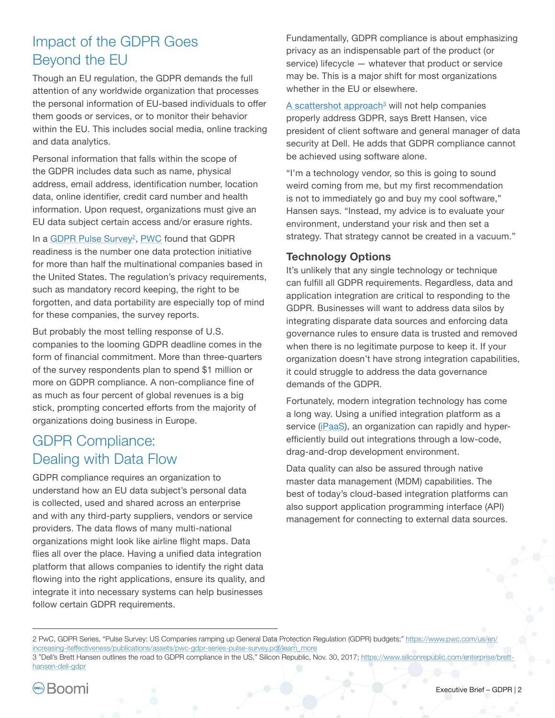# Impact of the GDPR Goes Beyond the EU

Though an EU regulation, the GDPR demands the full attention of any worldwide organization that processes the personal information of EU-based individuals to offer them goods or services, or to monitor their behavior within the EU. This includes social media, online tracking and data analytics.

Personal information that falls within the scope of the GDPR includes data such as name, physical address, email address, identification number, location data, online identifier, credit card number and health information. Upon request, organizations must give an EU data subject certain access and/or erasure rights.

In a <u>[GDPR Pulse Survey](https://www.pwc.com/us/en/increasing-it-effectiveness/publications/assets/pwc-gdpr-series-pulse-survey.pdf)<sup>2</sup>, [PWC](https://www.pwc.com/)</u> found that GDPR readiness is the number one data protection initiative for more than half the multinational companies based in the United States. The regulation's privacy requirements, such as mandatory record keeping, the right to be forgotten, and data portability are especially top of mind for these companies, the survey reports.

But probably the most telling response of U.S. companies to the looming GDPR deadline comes in the form of financial commitment. More than three-quarters of the survey respondents plan to spend \$1 million or more on GDPR compliance. A non-compliance fine of as much as four percent of global revenues is a big stick, prompting concerted efforts from the majority of organizations doing business in Europe.

# GDPR Compliance: Dealing with Data Flow

GDPR compliance requires an organization to understand how an EU data subject's personal data is collected, used and shared across an enterprise and with any third-party suppliers, vendors or service providers. The data flows of many multi-national organizations might look like airline flight maps. Data flies all over the place. Having a unified data integration platform that allows companies to identify the right data flowing into the right applications, ensure its quality, and integrate it into necessary systems can help businesses follow certain GDPR requirements.

Fundamentally, GDPR compliance is about emphasizing privacy as an indispensable part of the product (or service) lifecycle — whatever that product or service may be. This is a major shift for most organizations whether in the EU or elsewhere.

A scattershot approach<sup>a</sup> will not help companies properly address GDPR, says Brett Hansen, vice president of client software and general manager of data security at Dell. He adds that GDPR compliance cannot be achieved using software alone.

"I'm a technology vendor, so this is going to sound weird coming from me, but my first recommendation is not to immediately go and buy my cool software," Hansen says. "Instead, my advice is to evaluate your environment, understand your risk and then set a strategy. That strategy cannot be created in a vacuum."

### **Technology Options**

It's unlikely that any single technology or technique can fulfill all GDPR requirements. Regardless, data and application integration are critical to responding to the GDPR. Businesses will want to address data silos by integrating disparate data sources and enforcing data governance rules to ensure data is trusted and removed when there is no legitimate purpose to keep it. If your organization doesn't have strong integration capabilities, it could struggle to address the data governance demands of the GDPR.

Fortunately, modern integration technology has come a long way. Using a unified integration platform as a service ([iPaaS](https://boomi.com/integration/what-is-ipaas/)), an organization can rapidly and hyperefficiently build out integrations through a low-code, drag-and-drop development environment.

Data quality can also be assured through native master data management (MDM) capabilities. The best of today's cloud-based integration platforms can also support application programming interface (API) management for connecting to external data sources.

<sup>2</sup> PwC, GDPR Series, "Pulse Survey: US Companies ramping up General Data Protection Regulation (GDPR) budgets;" [https://www.pwc.com/us/en/](https://www.pwc.com/us/en/increasing-iteffectiveness/publications/assets/pwc-gdpr-series-pulse-survey.pdf/learn_more) [increasing-iteffectiveness/publications/assets/pwc-gdpr-series-pulse-survey.pdf/learn\\_more](https://www.pwc.com/us/en/increasing-iteffectiveness/publications/assets/pwc-gdpr-series-pulse-survey.pdf/learn_more)

<sup>3 &</sup>quot;Dell's Brett Hansen outlines the road to GDPR compliance in the US," Silicon Republic, Nov. 30, 2017; [https://www.siliconrepublic.com/enterprise/brett](https://www.siliconrepublic.com/enterprise/brett-hansen-dell-gdpr)[hansen-dell-gdpr](https://www.siliconrepublic.com/enterprise/brett-hansen-dell-gdpr)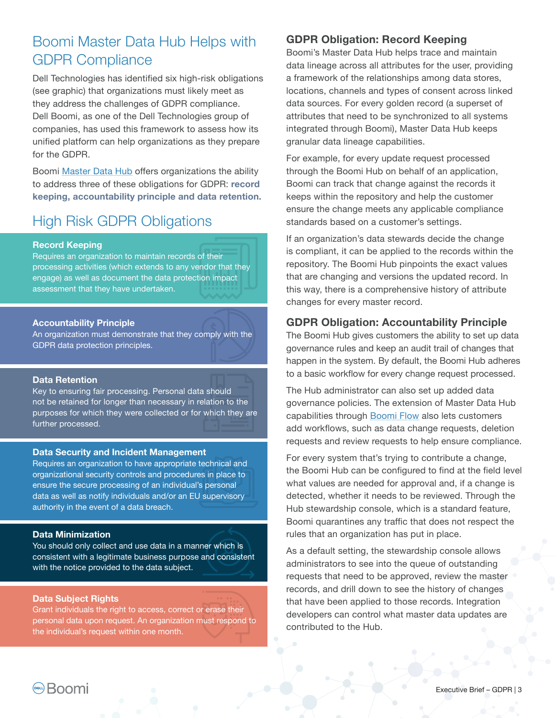## Boomi Master Data Hub Helps with GDPR Compliance

Dell Technologies has identified six high-risk obligations (see graphic) that organizations must likely meet as they address the challenges of GDPR compliance. Dell Boomi, as one of the Dell Technologies group of companies, has used this framework to assess how its unified platform can help organizations as they prepare for the GDPR.

Boomi [Master Data Hub](https://boomi.com/hub) offers organizations the ability to address three of these obligations for GDPR: **record keeping, accountability principle and data retention.**

# High Risk GDPR Obligations

#### **Record Keeping**

Requires an organization to maintain records of their processing activities (which extends to any vendor that they engage) as well as document the data protection impact assessment that they have undertaken.

#### **Accountability Principle**

An organization must demonstrate that they comply with the GDPR data protection principles.

#### **Data Retention**

Key to ensuring fair processing. Personal data should not be retained for longer than necessary in relation to the purposes for which they were collected or for which they are further processed.

#### **Data Security and Incident Management**

Requires an organization to have appropriate technical and organizational security controls and procedures in place to ensure the secure processing of an individual's personal data as well as notify individuals and/or an EU supervisory authority in the event of a data breach.

#### **Data Minimization**

You should only collect and use data in a manner which is consistent with a legitimate business purpose and consistent with the notice provided to the data subject.

#### **Data Subject Rights**

Grant individuals the right to access, correct or erase their personal data upon request. An organization must respond to the individual's request within one month.

### **GDPR Obligation: Record Keeping**

Boomi's Master Data Hub helps trace and maintain data lineage across all attributes for the user, providing a framework of the relationships among data stores, locations, channels and types of consent across linked data sources. For every golden record (a superset of attributes that need to be synchronized to all systems integrated through Boomi), Master Data Hub keeps granular data lineage capabilities.

For example, for every update request processed through the Boomi Hub on behalf of an application, Boomi can track that change against the records it keeps within the repository and help the customer ensure the change meets any applicable compliance standards based on a customer's settings.

If an organization's data stewards decide the change is compliant, it can be applied to the records within the repository. The Boomi Hub pinpoints the exact values that are changing and versions the updated record. In this way, there is a comprehensive history of attribute changes for every master record.

### **GDPR Obligation: Accountability Principle**

The Boomi Hub gives customers the ability to set up data governance rules and keep an audit trail of changes that happen in the system. By default, the Boomi Hub adheres to a basic workflow for every change request processed.

The Hub administrator can also set up added data governance policies. The extension of Master Data Hub capabilities through [Boomi Flow](https://boomi.com/flow/) also lets customers add workflows, such as data change requests, deletion requests and review requests to help ensure compliance.

For every system that's trying to contribute a change, the Boomi Hub can be configured to find at the field level what values are needed for approval and, if a change is detected, whether it needs to be reviewed. Through the Hub stewardship console, which is a standard feature, Boomi quarantines any traffic that does not respect the rules that an organization has put in place.

As a default setting, the stewardship console allows administrators to see into the queue of outstanding requests that need to be approved, review the master records, and drill down to see the history of changes that have been applied to those records. Integration developers can control what master data updates are contributed to the Hub.

**Boomi**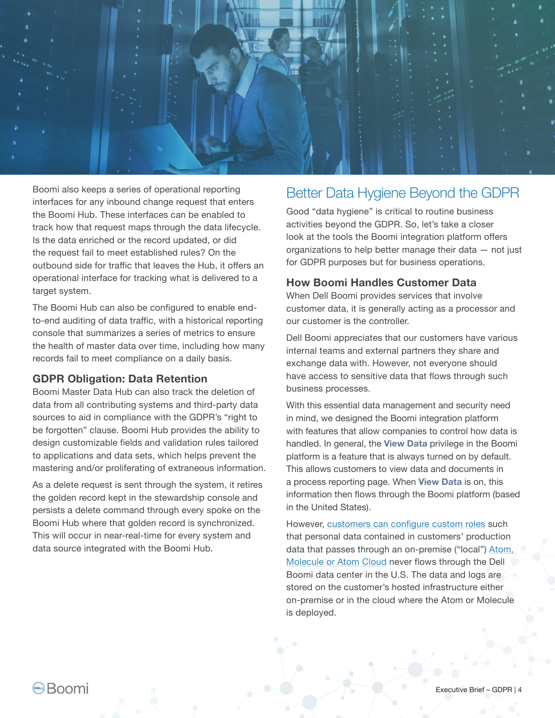

Boomi also keeps a series of operational reporting interfaces for any inbound change request that enters the Boomi Hub. These interfaces can be enabled to track how that request maps through the data lifecycle. Is the data enriched or the record updated, or did the request fail to meet established rules? On the outbound side for traffic that leaves the Hub, it offers an operational interface for tracking what is delivered to a target system.

The Boomi Hub can also be configured to enable endto-end auditing of data traffic, with a historical reporting console that summarizes a series of metrics to ensure the health of master data over time, including how many records fail to meet compliance on a daily basis.

### **GDPR Obligation: Data Retention**

Boomi Master Data Hub can also track the deletion of data from all contributing systems and third-party data sources to aid in compliance with the GDPR's "right to be forgotten" clause. Boomi Hub provides the ability to design customizable fields and validation rules tailored to applications and data sets, which helps prevent the mastering and/or proliferating of extraneous information.

As a delete request is sent through the system, it retires the golden record kept in the stewardship console and persists a delete command through every spoke on the Boomi Hub where that golden record is synchronized. This will occur in near-real-time for every system and data source integrated with the Boomi Hub.

## Better Data Hygiene Beyond the GDPR

Good "data hygiene" is critical to routine business activities beyond the GDPR. So, let's take a closer look at the tools the Boomi integration platform offers organizations to help better manage their data — not just for GDPR purposes but for business operations.

#### **How Boomi Handles Customer Data**

When Dell Boomi provides services that involve customer data, it is generally acting as a processor and our customer is the controller.

Dell Boomi appreciates that our customers have various internal teams and external partners they share and exchange data with. However, not everyone should have access to sensitive data that flows through such business processes.

With this essential data management and security need in mind, we designed the Boomi integration platform with features that allow companies to control how data is handled. In general, the **View Data** privilege in the Boomi platform is a feature that is always turned on by default. This allows customers to view data and documents in a process reporting page. When **View Data** is on, this information then flows through the Boomi platform (based in the United States).

However, [customers can configure custom roles](http://help.boomi.com/atomsphere/GUID-B02F353D-9961-4832-9205-3B3804D4CBA0.html) such that personal data contained in customers' production data that passes through an on-premise ("local") Atom, [Molecule or Atom Cloud](http://help.boomi.com/atomsphere/GUID-51F4C82C-974A-464D-AE6B-BBE264839AFE.html) never flows through the Dell Boomi data center in the U.S. The data and logs are stored on the customer's hosted infrastructure either on-premise or in the cloud where the Atom or Molecule is deployed.